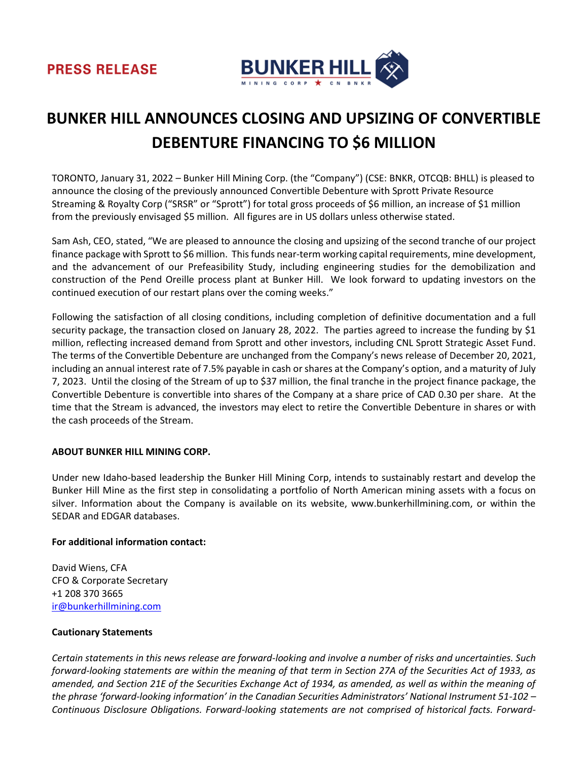

# **BUNKER HILL ANNOUNCES CLOSING AND UPSIZING OF CONVERTIBLE DEBENTURE FINANCING TO \$6 MILLION**

TORONTO, January 31, 2022 – Bunker Hill Mining Corp. (the "Company") (CSE: BNKR, OTCQB: BHLL) is pleased to announce the closing of the previously announced Convertible Debenture with Sprott Private Resource Streaming & Royalty Corp ("SRSR" or "Sprott") for total gross proceeds of \$6 million, an increase of \$1 million from the previously envisaged \$5 million. All figures are in US dollars unless otherwise stated.

Sam Ash, CEO, stated, "We are pleased to announce the closing and upsizing of the second tranche of our project finance package with Sprott to \$6 million. This funds near-term working capital requirements, mine development, and the advancement of our Prefeasibility Study, including engineering studies for the demobilization and construction of the Pend Oreille process plant at Bunker Hill. We look forward to updating investors on the continued execution of our restart plans over the coming weeks."

Following the satisfaction of all closing conditions, including completion of definitive documentation and a full security package, the transaction closed on January 28, 2022. The parties agreed to increase the funding by \$1 million, reflecting increased demand from Sprott and other investors, including CNL Sprott Strategic Asset Fund. The terms of the Convertible Debenture are unchanged from the Company's news release of December 20, 2021, including an annual interest rate of 7.5% payable in cash or shares at the Company's option, and a maturity of July 7, 2023. Until the closing of the Stream of up to \$37 million, the final tranche in the project finance package, the Convertible Debenture is convertible into shares of the Company at a share price of CAD 0.30 per share. At the time that the Stream is advanced, the investors may elect to retire the Convertible Debenture in shares or with the cash proceeds of the Stream.

## **ABOUT BUNKER HILL MINING CORP.**

Under new Idaho-based leadership the Bunker Hill Mining Corp, intends to sustainably restart and develop the Bunker Hill Mine as the first step in consolidating a portfolio of North American mining assets with a focus on silver. Information about the Company is available on its website, www.bunkerhillmining.com, or within the SEDAR and EDGAR databases.

#### **For additional information contact:**

David Wiens, CFA CFO & Corporate Secretary +1 208 370 3665 [ir@bunkerhillmining.com](mailto:ir@bunkerhillmining.com)

## **Cautionary Statements**

*Certain statements in this news release are forward-looking and involve a number of risks and uncertainties. Such forward-looking statements are within the meaning of that term in Section 27A of the Securities Act of 1933, as amended, and Section 21E of the Securities Exchange Act of 1934, as amended, as well as within the meaning of the phrase 'forward-looking information' in the Canadian Securities Administrators' National Instrument 51-102 – Continuous Disclosure Obligations. Forward-looking statements are not comprised of historical facts. Forward-*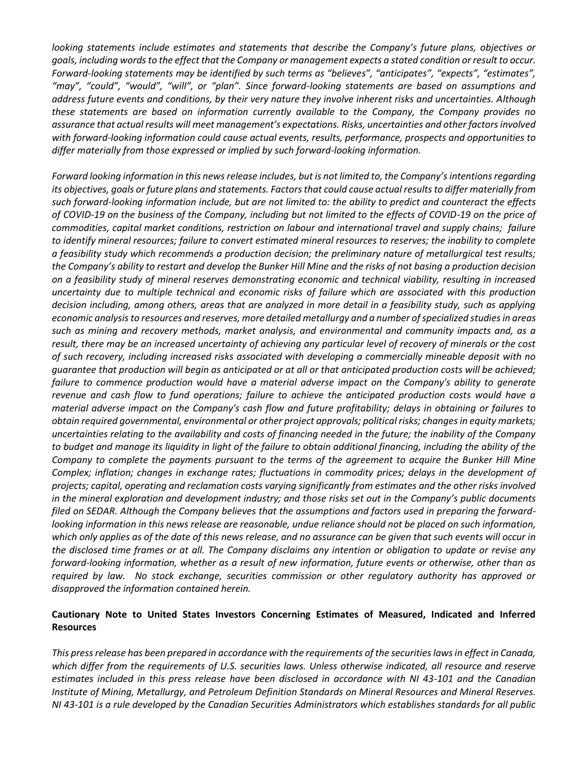*looking statements include estimates and statements that describe the Company's future plans, objectives or goals, including words to the effect that the Company or management expects a stated condition or result to occur. Forward-looking statements may be identified by such terms as "believes", "anticipates", "expects", "estimates", "may", "could", "would", "will", or "plan". Since forward-looking statements are based on assumptions and address future events and conditions, by their very nature they involve inherent risks and uncertainties. Although these statements are based on information currently available to the Company, the Company provides no assurance that actual results will meet management's expectations. Risks, uncertainties and other factors involved with forward-looking information could cause actual events, results, performance, prospects and opportunities to differ materially from those expressed or implied by such forward-looking information.* 

*Forward looking information in this news release includes, but is not limited to, the Company's intentions regarding its objectives, goals or future plans and statements. Factors that could cause actual results to differ materially from such forward-looking information include, but are not limited to: the ability to predict and counteract the effects of COVID-19 on the business of the Company, including but not limited to the effects of COVID-19 on the price of commodities, capital market conditions, restriction on labour and international travel and supply chains; failure to identify mineral resources; failure to convert estimated mineral resources to reserves; the inability to complete a feasibility study which recommends a production decision; the preliminary nature of metallurgical test results; the Company's ability to restart and develop the Bunker Hill Mine and the risks of not basing a production decision on a feasibility study of mineral reserves demonstrating economic and technical viability, resulting in increased uncertainty due to multiple technical and economic risks of failure which are associated with this production decision including, among others, areas that are analyzed in more detail in a feasibility study, such as applying economic analysis to resources and reserves, more detailed metallurgy and a number of specialized studies in areas such as mining and recovery methods, market analysis, and environmental and community impacts and, as a result, there may be an increased uncertainty of achieving any particular level of recovery of minerals or the cost of such recovery, including increased risks associated with developing a commercially mineable deposit with no guarantee that production will begin as anticipated or at all or that anticipated production costs will be achieved; failure to commence production would have a material adverse impact on the Company's ability to generate revenue and cash flow to fund operations; failure to achieve the anticipated production costs would have a material adverse impact on the Company's cash flow and future profitability; delays in obtaining or failures to obtain required governmental, environmental or other project approvals; political risks; changes in equity markets; uncertainties relating to the availability and costs of financing needed in the future; the inability of the Company to budget and manage its liquidity in light of the failure to obtain additional financing, including the ability of the Company to complete the payments pursuant to the terms of the agreement to acquire the Bunker Hill Mine Complex; inflation; changes in exchange rates; fluctuations in commodity prices; delays in the development of projects; capital, operating and reclamation costs varying significantly from estimates and the other risks involved in the mineral exploration and development industry; and those risks set out in the Company's public documents filed on SEDAR. Although the Company believes that the assumptions and factors used in preparing the forwardlooking information in this news release are reasonable, undue reliance should not be placed on such information, which only applies as of the date of this news release, and no assurance can be given that such events will occur in the disclosed time frames or at all. The Company disclaims any intention or obligation to update or revise any forward-looking information, whether as a result of new information, future events or otherwise, other than as required by law. No stock exchange, securities commission or other regulatory authority has approved or disapproved the information contained herein.*

## **Cautionary Note to United States Investors Concerning Estimates of Measured, Indicated and Inferred Resources**

*This press release has been prepared in accordance with the requirements of the securities laws in effect in Canada, which differ from the requirements of U.S. securities laws. Unless otherwise indicated, all resource and reserve estimates included in this press release have been disclosed in accordance with NI 43-101 and the Canadian Institute of Mining, Metallurgy, and Petroleum Definition Standards on Mineral Resources and Mineral Reserves. NI 43-101 is a rule developed by the Canadian Securities Administrators which establishes standards for all public*